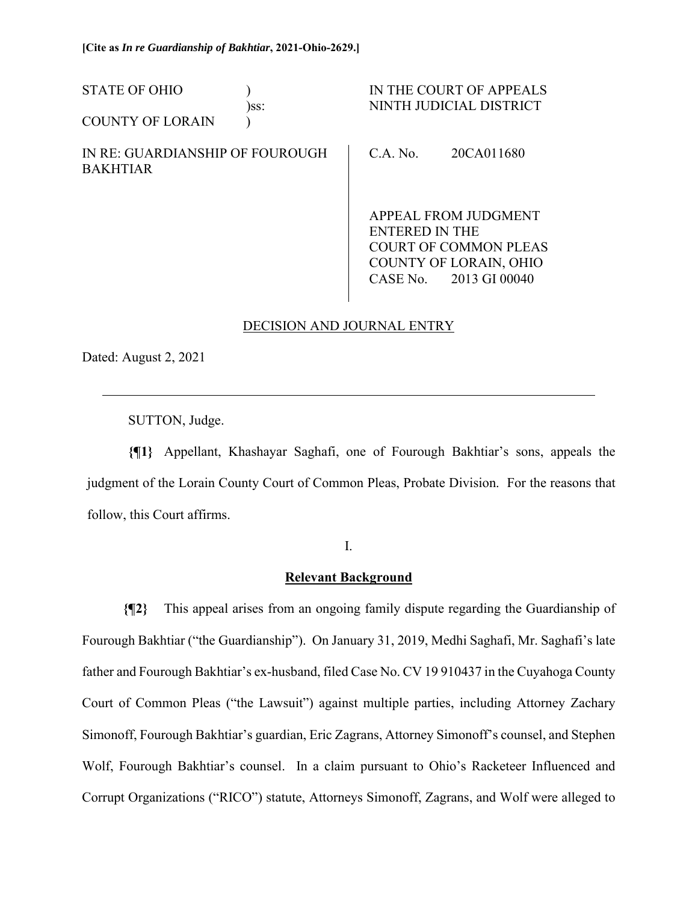| <b>STATE OF OHIO</b>                               | )ss: |                                                | IN THE COURT OF APPEALS<br>NINTH JUDICIAL DISTRICT |
|----------------------------------------------------|------|------------------------------------------------|----------------------------------------------------|
| <b>COUNTY OF LORAIN</b>                            |      |                                                |                                                    |
| IN RE: GUARDIANSHIP OF FOUROUGH<br><b>BAKHTIAR</b> |      | $C.A.$ No.                                     | 20CA011680                                         |
|                                                    |      | APPEAL FROM JUDGMENT                           |                                                    |
|                                                    |      | ENTERED IN THE<br><b>COURT OF COMMON PLEAS</b> |                                                    |
|                                                    |      |                                                |                                                    |

# DECISION AND JOURNAL ENTRY

CASE No. 2013 GI 00040

Dated: August 2, 2021

 $\overline{a}$ 

SUTTON, Judge.

**{¶1}** Appellant, Khashayar Saghafi, one of Fourough Bakhtiar's sons, appeals the judgment of the Lorain County Court of Common Pleas, Probate Division. For the reasons that follow, this Court affirms.

I.

### **Relevant Background**

**{¶2}** This appeal arises from an ongoing family dispute regarding the Guardianship of Fourough Bakhtiar ("the Guardianship"). On January 31, 2019, Medhi Saghafi, Mr. Saghafi's late father and Fourough Bakhtiar's ex-husband, filed Case No. CV 19 910437 in the Cuyahoga County Court of Common Pleas ("the Lawsuit") against multiple parties, including Attorney Zachary Simonoff, Fourough Bakhtiar's guardian, Eric Zagrans, Attorney Simonoff's counsel, and Stephen Wolf, Fourough Bakhtiar's counsel. In a claim pursuant to Ohio's Racketeer Influenced and Corrupt Organizations ("RICO") statute, Attorneys Simonoff, Zagrans, and Wolf were alleged to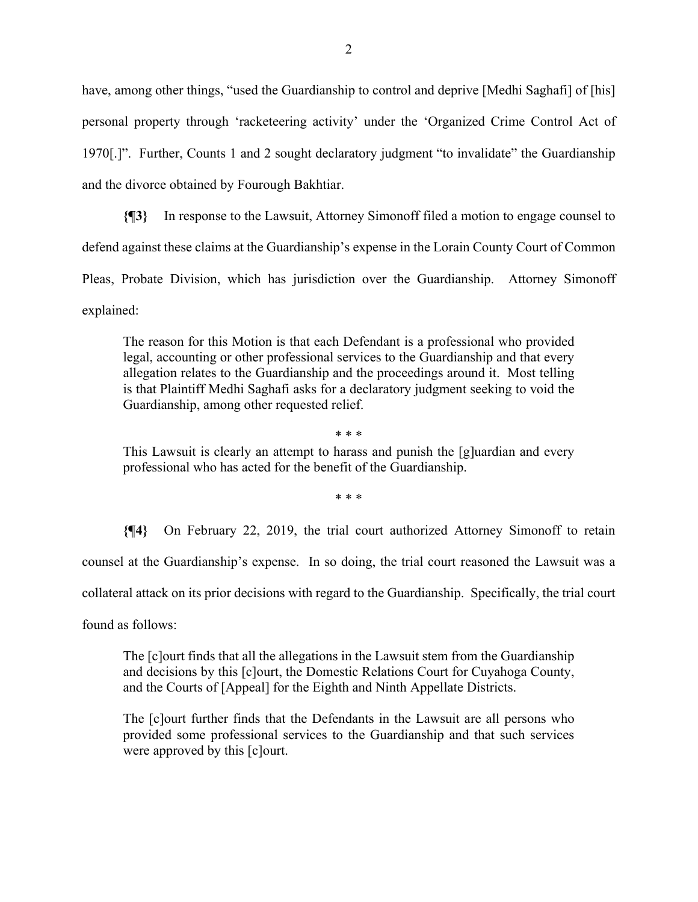have, among other things, "used the Guardianship to control and deprive [Medhi Saghafi] of [his] personal property through 'racketeering activity' under the 'Organized Crime Control Act of 1970[.]". Further, Counts 1 and 2 sought declaratory judgment "to invalidate" the Guardianship and the divorce obtained by Fourough Bakhtiar.

**{¶3}** In response to the Lawsuit, Attorney Simonoff filed a motion to engage counsel to defend against these claims at the Guardianship's expense in the Lorain County Court of Common Pleas, Probate Division, which has jurisdiction over the Guardianship. Attorney Simonoff explained:

The reason for this Motion is that each Defendant is a professional who provided legal, accounting or other professional services to the Guardianship and that every allegation relates to the Guardianship and the proceedings around it. Most telling is that Plaintiff Medhi Saghafi asks for a declaratory judgment seeking to void the Guardianship, among other requested relief.

This Lawsuit is clearly an attempt to harass and punish the [g]uardian and every professional who has acted for the benefit of the Guardianship.

\* \* \*

\* \* \*

**{¶4}** On February 22, 2019, the trial court authorized Attorney Simonoff to retain counsel at the Guardianship's expense. In so doing, the trial court reasoned the Lawsuit was a collateral attack on its prior decisions with regard to the Guardianship. Specifically, the trial court

found as follows:

The [c]ourt finds that all the allegations in the Lawsuit stem from the Guardianship and decisions by this [c]ourt, the Domestic Relations Court for Cuyahoga County, and the Courts of [Appeal] for the Eighth and Ninth Appellate Districts.

The [c]ourt further finds that the Defendants in the Lawsuit are all persons who provided some professional services to the Guardianship and that such services were approved by this [c]ourt.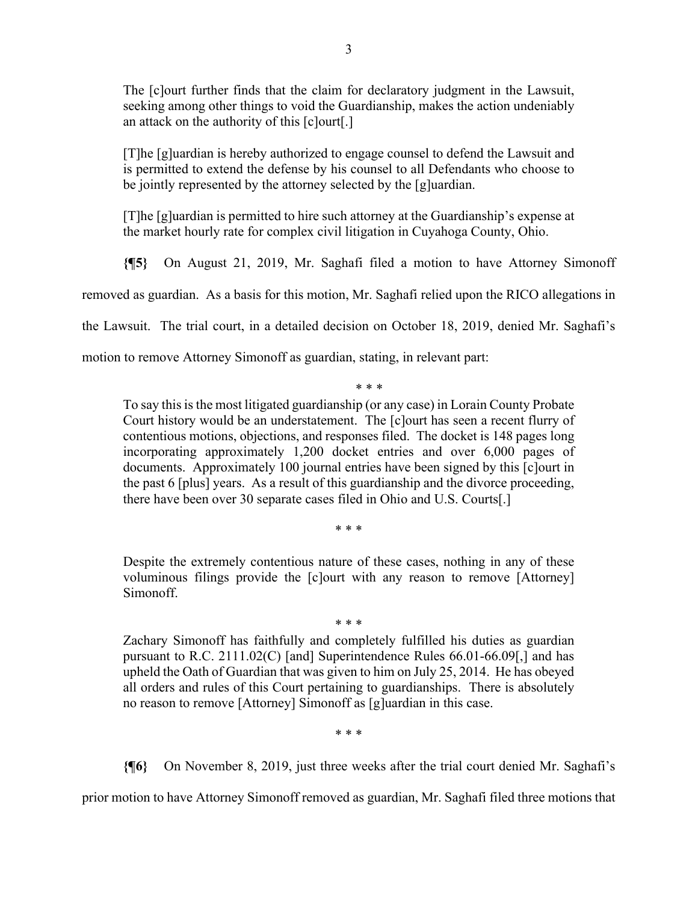The [c]ourt further finds that the claim for declaratory judgment in the Lawsuit, seeking among other things to void the Guardianship, makes the action undeniably an attack on the authority of this [c]ourt[.]

[T]he [g]uardian is hereby authorized to engage counsel to defend the Lawsuit and is permitted to extend the defense by his counsel to all Defendants who choose to be jointly represented by the attorney selected by the [g]uardian.

[T]he [g]uardian is permitted to hire such attorney at the Guardianship's expense at the market hourly rate for complex civil litigation in Cuyahoga County, Ohio.

**{¶5}** On August 21, 2019, Mr. Saghafi filed a motion to have Attorney Simonoff

removed as guardian. As a basis for this motion, Mr. Saghafi relied upon the RICO allegations in

the Lawsuit. The trial court, in a detailed decision on October 18, 2019, denied Mr. Saghafi's

motion to remove Attorney Simonoff as guardian, stating, in relevant part:

\* \* \*

To say this is the most litigated guardianship (or any case) in Lorain County Probate Court history would be an understatement. The [c]ourt has seen a recent flurry of contentious motions, objections, and responses filed. The docket is 148 pages long incorporating approximately 1,200 docket entries and over 6,000 pages of documents. Approximately 100 journal entries have been signed by this [c]ourt in the past 6 [plus] years. As a result of this guardianship and the divorce proceeding, there have been over 30 separate cases filed in Ohio and U.S. Courts[.]

\* \* \*

Despite the extremely contentious nature of these cases, nothing in any of these voluminous filings provide the [c]ourt with any reason to remove [Attorney] Simonoff.

\* \* \*

Zachary Simonoff has faithfully and completely fulfilled his duties as guardian pursuant to R.C. 2111.02(C) [and] Superintendence Rules 66.01-66.09[,] and has upheld the Oath of Guardian that was given to him on July 25, 2014. He has obeyed all orders and rules of this Court pertaining to guardianships. There is absolutely no reason to remove [Attorney] Simonoff as [g]uardian in this case.

\* \* \*

**{¶6}** On November 8, 2019, just three weeks after the trial court denied Mr. Saghafi's

prior motion to have Attorney Simonoff removed as guardian, Mr. Saghafi filed three motions that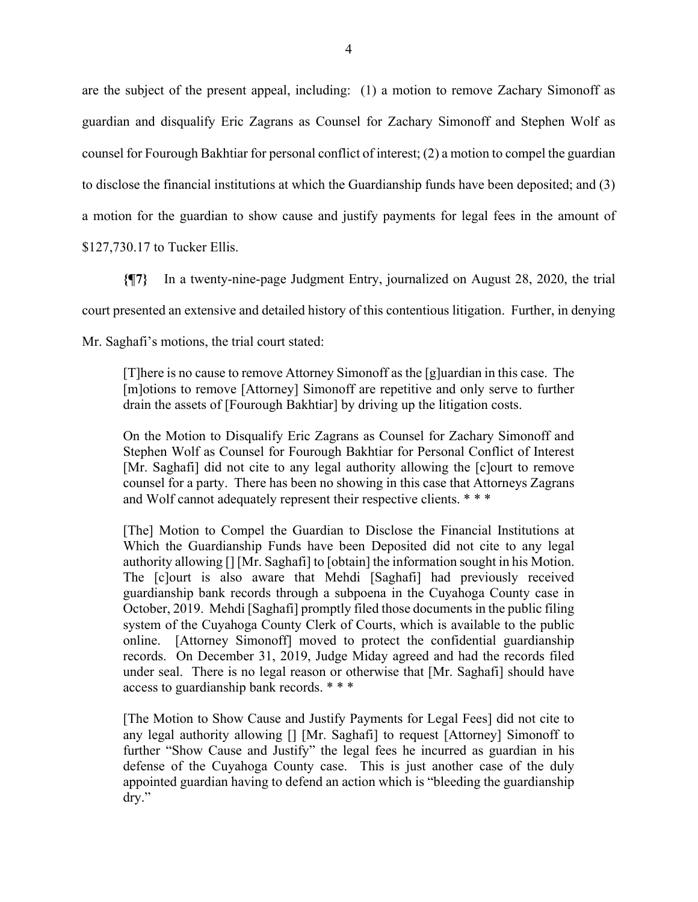are the subject of the present appeal, including: (1) a motion to remove Zachary Simonoff as guardian and disqualify Eric Zagrans as Counsel for Zachary Simonoff and Stephen Wolf as counsel for Fourough Bakhtiar for personal conflict of interest; (2) a motion to compel the guardian to disclose the financial institutions at which the Guardianship funds have been deposited; and (3) a motion for the guardian to show cause and justify payments for legal fees in the amount of \$127,730.17 to Tucker Ellis.

**{¶7}** In a twenty-nine-page Judgment Entry, journalized on August 28, 2020, the trial court presented an extensive and detailed history of this contentious litigation. Further, in denying Mr. Saghafi's motions, the trial court stated:

[T]here is no cause to remove Attorney Simonoff as the [g]uardian in this case. The [m]otions to remove [Attorney] Simonoff are repetitive and only serve to further drain the assets of [Fourough Bakhtiar] by driving up the litigation costs.

On the Motion to Disqualify Eric Zagrans as Counsel for Zachary Simonoff and Stephen Wolf as Counsel for Fourough Bakhtiar for Personal Conflict of Interest [Mr. Saghafi] did not cite to any legal authority allowing the [c]ourt to remove counsel for a party. There has been no showing in this case that Attorneys Zagrans and Wolf cannot adequately represent their respective clients. \* \* \*

[The] Motion to Compel the Guardian to Disclose the Financial Institutions at Which the Guardianship Funds have been Deposited did not cite to any legal authority allowing [] [Mr. Saghafi] to [obtain] the information sought in his Motion. The [c]ourt is also aware that Mehdi [Saghafi] had previously received guardianship bank records through a subpoena in the Cuyahoga County case in October, 2019. Mehdi [Saghafi] promptly filed those documents in the public filing system of the Cuyahoga County Clerk of Courts, which is available to the public online. [Attorney Simonoff] moved to protect the confidential guardianship records. On December 31, 2019, Judge Miday agreed and had the records filed under seal. There is no legal reason or otherwise that [Mr. Saghafi] should have access to guardianship bank records. \* \* \*

[The Motion to Show Cause and Justify Payments for Legal Fees] did not cite to any legal authority allowing [] [Mr. Saghafi] to request [Attorney] Simonoff to further "Show Cause and Justify" the legal fees he incurred as guardian in his defense of the Cuyahoga County case. This is just another case of the duly appointed guardian having to defend an action which is "bleeding the guardianship dry."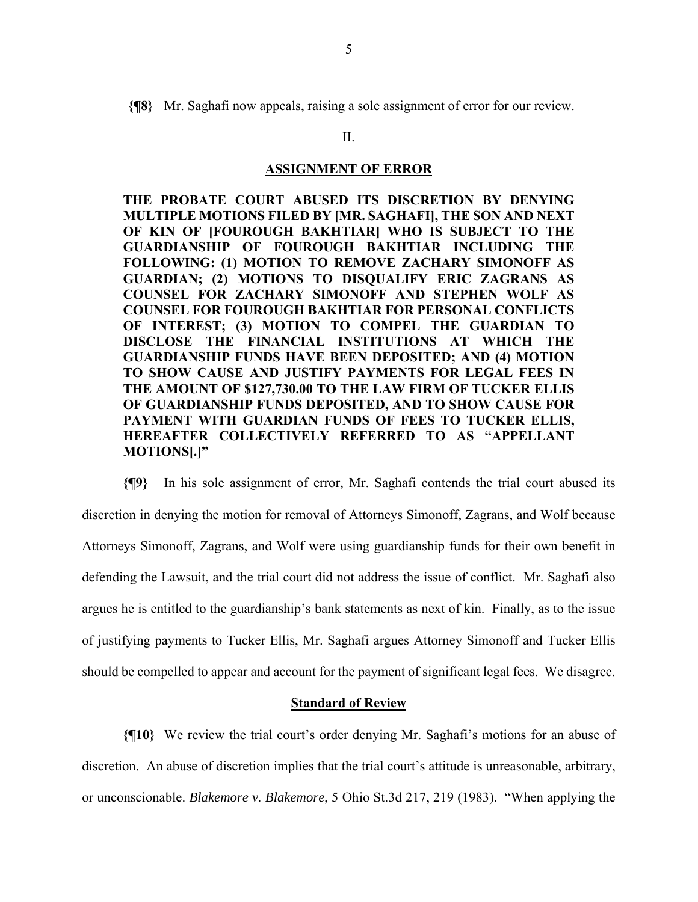**{¶8}** Mr. Saghafi now appeals, raising a sole assignment of error for our review.

### II.

## **ASSIGNMENT OF ERROR**

**THE PROBATE COURT ABUSED ITS DISCRETION BY DENYING MULTIPLE MOTIONS FILED BY [MR. SAGHAFI], THE SON AND NEXT OF KIN OF [FOUROUGH BAKHTIAR] WHO IS SUBJECT TO THE GUARDIANSHIP OF FOUROUGH BAKHTIAR INCLUDING THE FOLLOWING: (1) MOTION TO REMOVE ZACHARY SIMONOFF AS GUARDIAN; (2) MOTIONS TO DISQUALIFY ERIC ZAGRANS AS COUNSEL FOR ZACHARY SIMONOFF AND STEPHEN WOLF AS COUNSEL FOR FOUROUGH BAKHTIAR FOR PERSONAL CONFLICTS OF INTEREST; (3) MOTION TO COMPEL THE GUARDIAN TO DISCLOSE THE FINANCIAL INSTITUTIONS AT WHICH THE GUARDIANSHIP FUNDS HAVE BEEN DEPOSITED; AND (4) MOTION TO SHOW CAUSE AND JUSTIFY PAYMENTS FOR LEGAL FEES IN THE AMOUNT OF \$127,730.00 TO THE LAW FIRM OF TUCKER ELLIS OF GUARDIANSHIP FUNDS DEPOSITED, AND TO SHOW CAUSE FOR PAYMENT WITH GUARDIAN FUNDS OF FEES TO TUCKER ELLIS, HEREAFTER COLLECTIVELY REFERRED TO AS "APPELLANT MOTIONS[.]"** 

**{¶9}** In his sole assignment of error, Mr. Saghafi contends the trial court abused its discretion in denying the motion for removal of Attorneys Simonoff, Zagrans, and Wolf because Attorneys Simonoff, Zagrans, and Wolf were using guardianship funds for their own benefit in defending the Lawsuit, and the trial court did not address the issue of conflict. Mr. Saghafi also argues he is entitled to the guardianship's bank statements as next of kin. Finally, as to the issue of justifying payments to Tucker Ellis, Mr. Saghafi argues Attorney Simonoff and Tucker Ellis should be compelled to appear and account for the payment of significant legal fees. We disagree.

### **Standard of Review**

**{¶10}** We review the trial court's order denying Mr. Saghafi's motions for an abuse of discretion. An abuse of discretion implies that the trial court's attitude is unreasonable, arbitrary, or unconscionable. *Blakemore v. Blakemore*, 5 Ohio St.3d 217, 219 (1983). "When applying the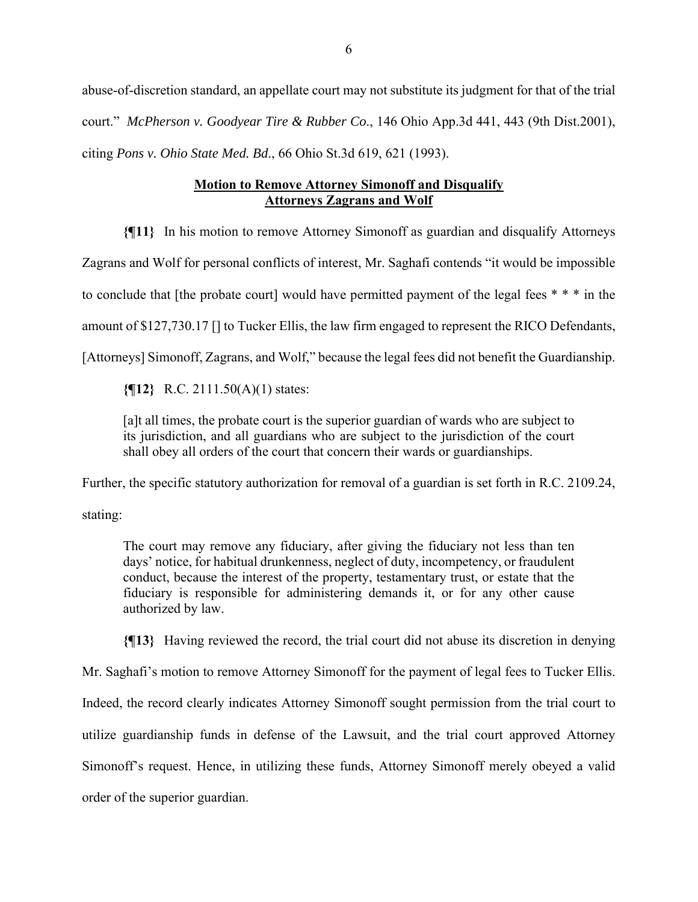abuse-of-discretion standard, an appellate court may not substitute its judgment for that of the trial court." *McPherson v. Goodyear Tire & Rubber Co*., 146 Ohio App.3d 441, 443 (9th Dist.2001), citing *Pons v. Ohio State Med. Bd*., 66 Ohio St.3d 619, 621 (1993).

# **Motion to Remove Attorney Simonoff and Disqualify Attorneys Zagrans and Wolf**

**{¶11}** In his motion to remove Attorney Simonoff as guardian and disqualify Attorneys

Zagrans and Wolf for personal conflicts of interest, Mr. Saghafi contends "it would be impossible

to conclude that [the probate court] would have permitted payment of the legal fees \* \* \* in the

amount of \$127,730.17 [] to Tucker Ellis, the law firm engaged to represent the RICO Defendants,

[Attorneys] Simonoff, Zagrans, and Wolf," because the legal fees did not benefit the Guardianship.

**{¶12}** R.C. 2111.50(A)(1) states:

[a]t all times, the probate court is the superior guardian of wards who are subject to its jurisdiction, and all guardians who are subject to the jurisdiction of the court shall obey all orders of the court that concern their wards or guardianships.

Further, the specific statutory authorization for removal of a guardian is set forth in R.C. 2109.24,

stating:

The court may remove any fiduciary, after giving the fiduciary not less than ten days' notice, for habitual drunkenness, neglect of duty, incompetency, or fraudulent conduct, because the interest of the property, testamentary trust, or estate that the fiduciary is responsible for administering demands it, or for any other cause authorized by law.

**{¶13}** Having reviewed the record, the trial court did not abuse its discretion in denying

Mr. Saghafi's motion to remove Attorney Simonoff for the payment of legal fees to Tucker Ellis. Indeed, the record clearly indicates Attorney Simonoff sought permission from the trial court to utilize guardianship funds in defense of the Lawsuit, and the trial court approved Attorney Simonoff's request. Hence, in utilizing these funds, Attorney Simonoff merely obeyed a valid order of the superior guardian.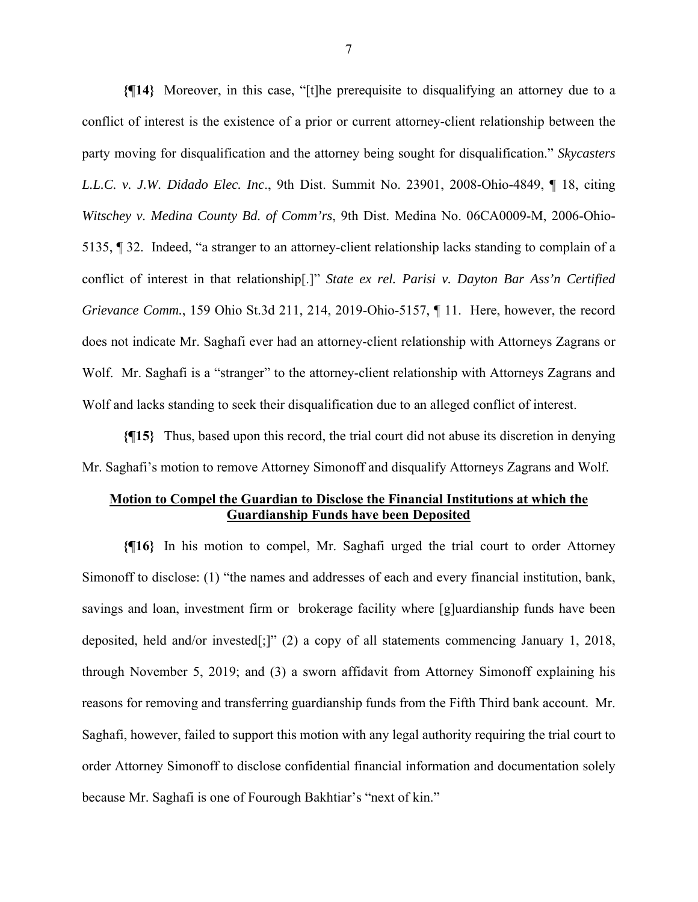**{¶14}** Moreover, in this case, "[t]he prerequisite to disqualifying an attorney due to a conflict of interest is the existence of a prior or current attorney-client relationship between the party moving for disqualification and the attorney being sought for disqualification." *Skycasters L.L.C. v. J.W. Didado Elec. Inc*., 9th Dist. Summit No. 23901, 2008-Ohio-4849, ¶ 18, citing *Witschey v. Medina County Bd. of Comm'rs*, 9th Dist. Medina No. 06CA0009-M, 2006-Ohio-5135, ¶ 32. Indeed, "a stranger to an attorney-client relationship lacks standing to complain of a conflict of interest in that relationship[.]" *State ex rel. Parisi v. Dayton Bar Ass'n Certified Grievance Comm.*, 159 Ohio St.3d 211, 214, 2019-Ohio-5157, ¶ 11. Here, however, the record does not indicate Mr. Saghafi ever had an attorney-client relationship with Attorneys Zagrans or Wolf. Mr. Saghafi is a "stranger" to the attorney-client relationship with Attorneys Zagrans and Wolf and lacks standing to seek their disqualification due to an alleged conflict of interest.

**{¶15}** Thus, based upon this record, the trial court did not abuse its discretion in denying Mr. Saghafi's motion to remove Attorney Simonoff and disqualify Attorneys Zagrans and Wolf.

## **Motion to Compel the Guardian to Disclose the Financial Institutions at which the Guardianship Funds have been Deposited**

**{¶16}** In his motion to compel, Mr. Saghafi urged the trial court to order Attorney Simonoff to disclose: (1) "the names and addresses of each and every financial institution, bank, savings and loan, investment firm or brokerage facility where [g]uardianship funds have been deposited, held and/or invested[;]" (2) a copy of all statements commencing January 1, 2018, through November 5, 2019; and (3) a sworn affidavit from Attorney Simonoff explaining his reasons for removing and transferring guardianship funds from the Fifth Third bank account. Mr. Saghafi, however, failed to support this motion with any legal authority requiring the trial court to order Attorney Simonoff to disclose confidential financial information and documentation solely because Mr. Saghafi is one of Fourough Bakhtiar's "next of kin."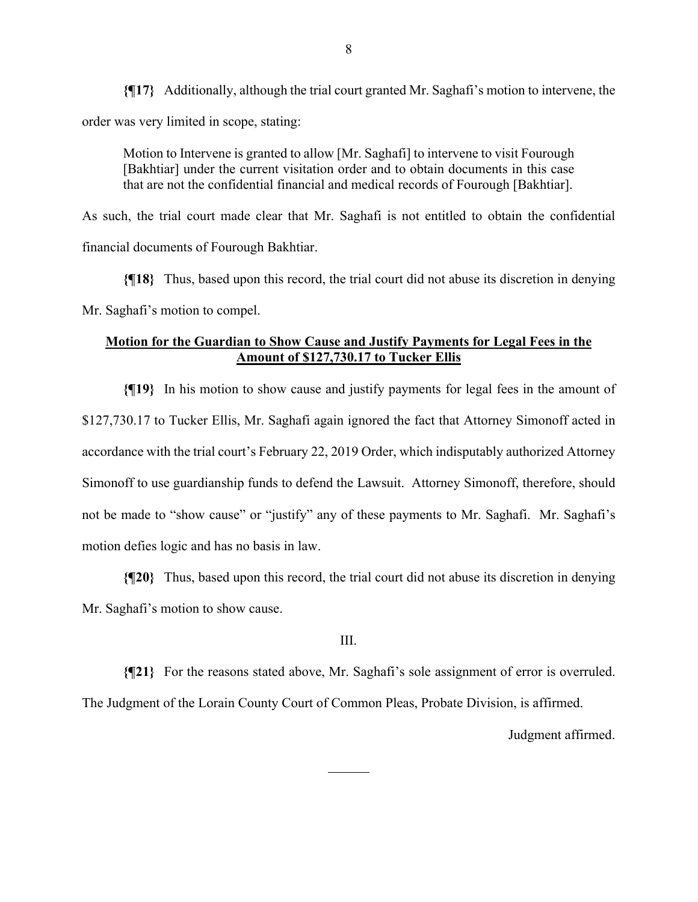**{¶17}** Additionally, although the trial court granted Mr. Saghafi's motion to intervene, the order was very limited in scope, stating:

Motion to Intervene is granted to allow [Mr. Saghafi] to intervene to visit Fourough [Bakhtiar] under the current visitation order and to obtain documents in this case that are not the confidential financial and medical records of Fourough [Bakhtiar].

As such, the trial court made clear that Mr. Saghafi is not entitled to obtain the confidential financial documents of Fourough Bakhtiar.

**{¶18}** Thus, based upon this record, the trial court did not abuse its discretion in denying Mr. Saghafi's motion to compel.

# **Motion for the Guardian to Show Cause and Justify Payments for Legal Fees in the Amount of \$127,730.17 to Tucker Ellis**

**{¶19}** In his motion to show cause and justify payments for legal fees in the amount of \$127,730.17 to Tucker Ellis, Mr. Saghafi again ignored the fact that Attorney Simonoff acted in accordance with the trial court's February 22, 2019 Order, which indisputably authorized Attorney Simonoff to use guardianship funds to defend the Lawsuit. Attorney Simonoff, therefore, should not be made to "show cause" or "justify" any of these payments to Mr. Saghafi. Mr. Saghafi's motion defies logic and has no basis in law.

**{¶20}** Thus, based upon this record, the trial court did not abuse its discretion in denying Mr. Saghafi's motion to show cause.

#### III.

**{¶21}** For the reasons stated above, Mr. Saghafi's sole assignment of error is overruled. The Judgment of the Lorain County Court of Common Pleas, Probate Division, is affirmed.

 $\overline{a}$ 

Judgment affirmed.